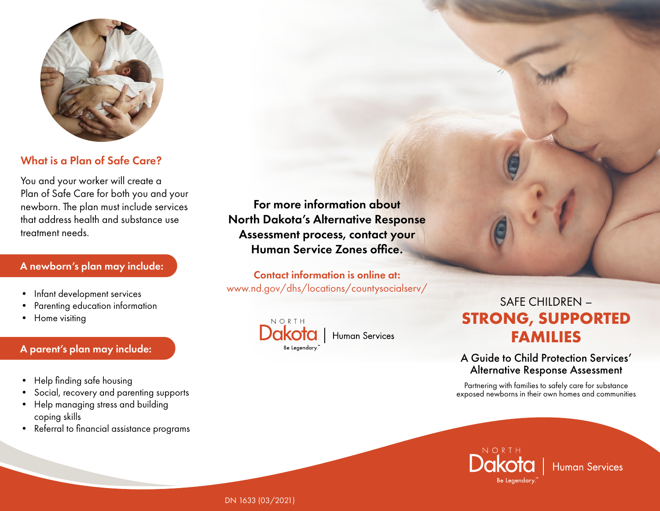

# What is a Plan of Safe Care?

You and your worker will create a Plan of Safe Care for both you and your newborn. The plan must include services that address health and substance use treatment needs.

#### A newborn's plan may include:

- Infant development services
- Parenting education information
- Home visiting

#### A parent's plan may include:

- Help finding safe housing
- Social, recovery and parenting supports
- Help managing stress and building coping skills
- Referral to financial assistance programs

For more information about North Dakota's Alternative Response Assessment process, contact your Human Service Zones office.

Contact information is online at: www.nd.gov/dhs/locations/countysocialserv/

**Human Services** 



SAFE CHILDREN – **STRONG, SUPPORTED FAMILIES**

### A Guide to Child Protection Services' Alternative Response Assessment

Partnering with families to safely care for substance exposed newborns in their own homes and communities



**Human Services** 

DN 1633 (03/2021)